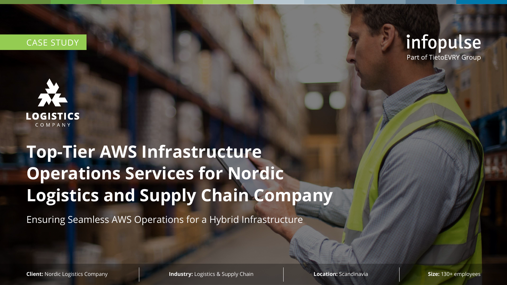# **Top-Tier AWS Infrastructure Operations Services for Nordic Logistics and Supply Chain Company**

Ensuring Seamless AWS Operations for a Hybrid Infrastructure

**Client:** Nordic Logistics Company **Industry:** Logistics & Supply Chain **Location:** Scandinavia **Size: 130+ employees** 

## infopulse Part of TietoEVRY Group



### CASE STUDY

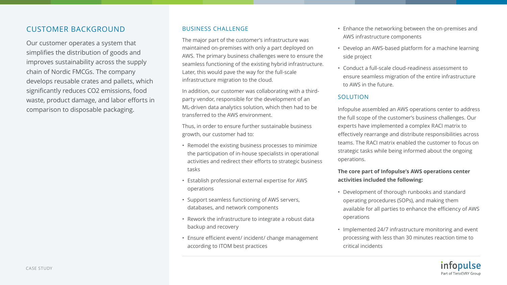#### CUSTOMER BACKGROUND

Our customer operates a system that simplifies the distribution of goods and improves sustainability across the supply chain of Nordic FMCGs. The company develops reusable crates and pallets, which significantly reduces CO2 emissions, food waste, product damage, and labor efforts in comparison to disposable packaging.

#### BUSINESS CHALLENGE

- The major part of the customer's infrastructure was maintained on-premises with only a part deployed on AWS. The primary business challenges were to ensure the seamless functioning of the existing hybrid infrastructure. Later, this would pave the way for the full-scale
- In addition, our customer was collaborating with a thirdparty vendor, responsible for the development of an ML-driven data analytics solution, which then had to be
- Thus, in order to ensure further sustainable business

infrastructure migration to the cloud.

transferred to the AWS environment.

growth, our customer had to:

- Remodel the existing business processes to minimize the participation of in-house specialists in operational activities and redirect their efforts to strategic business tasks
- Establish professional external expertise for AWS operations
- Support seamless functioning of AWS servers, databases, and network components
- Rework the infrastructure to integrate a robust data backup and recovery
- Ensure efficient event/ incident/ change management according to ITOM best practices
- Enhance the networking between the on-premises and AWS infrastructure components
- Develop an AWS-based platform for a machine learning side project
- Conduct a full-scale cloud-readiness assessment to ensure seamless migration of the entire infrastructure to AWS in the future.

#### SOLUTION

Infopulse assembled an AWS operations center to address the full scope of the customer's business challenges. Our experts have implemented a complex RACI matrix to effectively rearrange and distribute responsibilities across teams. The RACI matrix enabled the customer to focus on strategic tasks while being informed about the ongoing operations.

#### **The core part of Infopulse's AWS operations center activities included the following:**

- Development of thorough runbooks and standard operating procedures (SOPs), and making them available for all parties to enhance the efficiency of AWS operations
- Implemented 24/7 infrastructure monitoring and event processing with less than 30 minutes reaction time to critical incidents





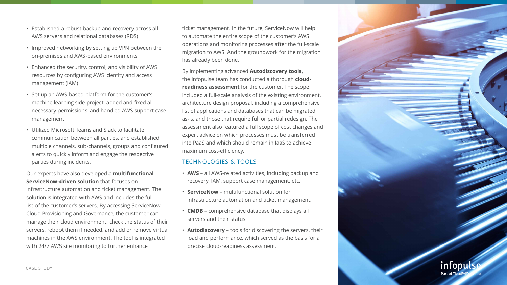- Established a robust backup and recovery across all AWS servers and relational databases (RDS)
- Improved networking by setting up VPN between the on-premises and AWS-based environments
- Enhanced the security, control, and visibility of AWS resources by configuring AWS identity and access management (IAM)
- Set up an AWS-based platform for the customer's machine learning side project, added and fixed all necessary permissions, and handled AWS support case management
- Utilized Microsoft Teams and Slack to facilitate communication between all parties, and established multiple channels, sub-channels, groups and configured alerts to quickly inform and engage the respective parties during incidents.

Our experts have also developed a **multifunctional ServiceNow-driven solution** that focuses on infrastructure automation and ticket management. The solution is integrated with AWS and includes the full list of the customer's servers. By accessing ServiceNow Cloud Provisioning and Governance, the customer can manage their cloud environment: check the status of their servers, reboot them if needed, and add or remove virtual machines in the AWS environment. The tool is integrated with 24/7 AWS site monitoring to further enhance

ticket management. In the future, ServiceNow will help to automate the entire scope of the customer's AWS operations and monitoring processes after the full-scale migration to AWS. And the groundwork for the migration has already been done.

By implementing advanced **Autodiscovery tools**, the Infopulse team has conducted a thorough **cloudreadiness assessment** for the customer. The scope included a full-scale analysis of the existing environment, architecture design proposal, including a comprehensive list of applications and databases that can be migrated as-is, and those that require full or partial redesign. The assessment also featured a full scope of cost changes and expert advice on which processes must be transferred into PaaS and which should remain in IaaS to achieve maximum cost-efficiency.

#### TECHNOLOGIES & TOOLS

• **AWS** – all AWS-related activities, including backup and recovery, IAM, support case management, etc.

- 
- **ServiceNow** multifunctional solution for infrastructure automation and ticket management.
- **CMDB**  comprehensive database that displays all servers and their status.
- precise cloud-readiness assessment.

• **Autodiscovery** – tools for discovering the servers, their load and performance, which served as the basis for a

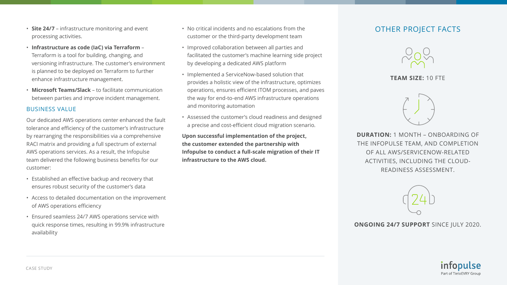- **Site 24/7** infrastructure monitoring and event processing activities.
- **Infrastructure as code (IaC) via Terraform** Terraform is a tool for building, changing, and versioning infrastructure. The customer's environment is planned to be deployed on Terraform to further enhance infrastructure management.
- **Microsoft Teams/Slack** to facilitate communication between parties and improve incident management.

#### BUSINESS VALUE

Our dedicated AWS operations center enhanced the fault tolerance and efficiency of the customer's infrastructure by rearranging the responsibilities via a comprehensive RACI matrix and providing a full spectrum of external AWS operations services. As a result, the Infopulse team delivered the following business benefits for our customer:

- Established an effective backup and recovery that ensures robust security of the customer's data
- Access to detailed documentation on the improvement of AWS operations efficiency
- Ensured seamless 24/7 AWS operations service with quick response times, resulting in 99.9% infrastructure availability
- No critical incidents and no escalations from the customer or the third-party development team
- Improved collaboration between all parties and facilitated the customer's machine learning side project by developing a dedicated AWS platform
- Implemented a ServiceNow-based solution that provides a holistic view of the infrastructure, optimizes operations, ensures efficient ITOM processes, and paves the way for end-to-end AWS infrastructure operations and monitoring automation
- Assessed the customer's cloud readiness and designed a precise and cost-efficient cloud migration scenario.

**Upon successful implementation of the project, the customer extended the partnership with Infopulse to conduct a full-scale migration of their IT** 

**infrastructure to the AWS cloud.** 

#### OTHER PROJECT FACTS



#### **TEAM SIZE:** 10 FTE



**DURATION:** 1 MONTH – ONBOARDING OF THE INFOPULSE TEAM, AND COMPLETION OF ALL AWS/SERVICENOW-RELATED ACTIVITIES, INCLUDING THE CLOUD-READINESS ASSESSMENT.



#### **ONGOING 24/7 SUPPORT** SINCE JULY 2020.